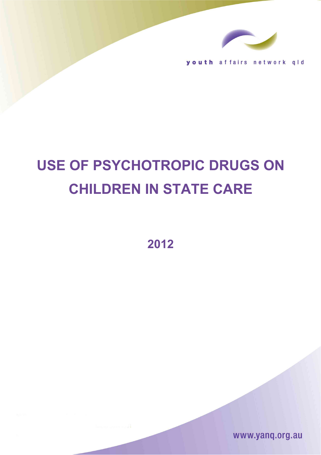

youth affairs network qld

# **USE OF PSYCHOTROPIC DRUGS ON CHILDREN IN STATE CARE**

**2012**

www.yanq.org.au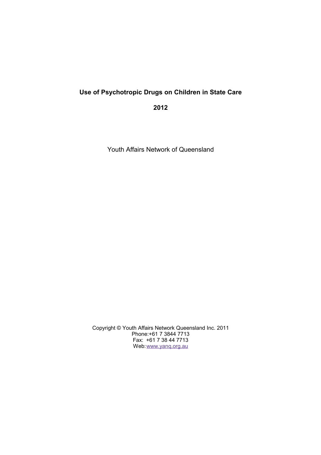## **Use of Psychotropic Drugs on Children in State Care**

**2012**

Youth Affairs Network of Queensland

Copyright © Youth Affairs Network Queensland Inc. 2011 Phone:+61 7 3844 7713 Fax: +61 7 38 44 7713 Web: [www.yanq.org.au](http://www.yanq.org.au/)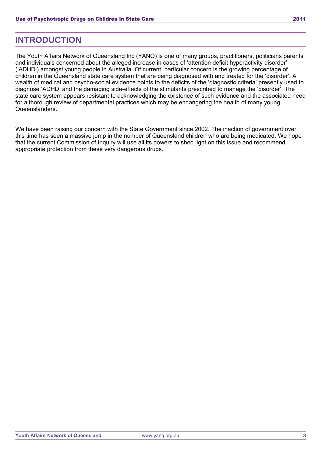### **INTRODUCTION**

The Youth Affairs Network of Queensland Inc (YANQ) is one of many groups, practitioners, politicians parents and individuals concerned about the alleged increase in cases of 'attention deficit hyperactivity disorder' ('ADHD') amongst young people in Australia. Of current, particular concern is the growing percentage of children in the Queensland state care system that are being diagnosed with and treated for the 'disorder'. A wealth of medical and psycho-social evidence points to the deficits of the 'diagnostic criteria' presently used to diagnose 'ADHD' and the damaging side-effects of the stimulants prescribed to manage the 'disorder'. The state care system appears resistant to acknowledging the existence of such evidence and the associated need for a thorough review of departmental practices which may be endangering the health of many young Queenslanders.

We have been raising our concern with the State Government since 2002. The inaction of government over this time has seen a massive jump in the number of Queensland children who are being medicated. We hope that the current Commission of Inquiry will use all its powers to shed light on this issue and recommend appropriate protection from these very dangerous drugs.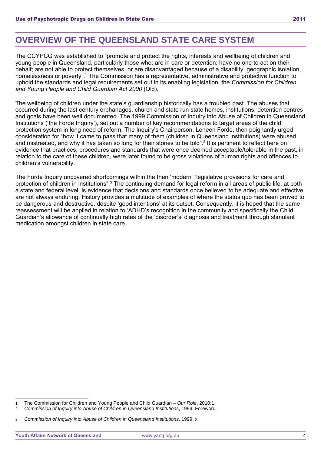# **OVERVIEW OF THE QUEENSLAND STATE CARE SYSTEM**

The CCYPCG was established to "promote and protect the rights, interests and wellbeing of children and young people in Queensland, particularly those who: are in care or detention; have no one to act on their behalf; are not able to protect themselves, or are disadvantaged because of a disability, geographic isolation, homelessness or poverty".<sup>[1](#page-3-0)</sup> The Commission has a representative, administrative and protective function to uphold the standards and legal requirements set out in its enabling legislation, the *Commission for Children and Young People and Child Guardian Act 2000* (Qld).

The wellbeing of children under the state's guardianship historically has a troubled past. The abuses that occurred during the last century orphanages, church and state run state homes, institutions, detention centres and goals have been well documented. The 1999 Commission of Inquiry into Abuse of Children in Queensland Institutions ('the Forde Inquiry'), set out a number of key recommendations to target areas of the child protection system in long need of reform. The Inquiry's Chairperson, Leneen Forde, then poignantly urged consideration for "how it came to pass that many of them (children in Queensland institutions) were abused and mistreated, and why it has taken so long for their stories to be told". [2](#page-3-1) It is pertinent to reflect here on evidence that practices, procedures and standards that were once deemed acceptable/tolerable in the past, in relation to the care of these children, were later found to be gross violations of human rights and offences to children's vulnerability.

The Forde Inquiry uncovered shortcomings within the then 'modern' "legislative provisions for care and protection of children in institutions".<sup>[3](#page-3-2)</sup> The continuing demand for legal reform in all areas of public life, at both a state and federal level, is evidence that decisions and standards once believed to be adequate and effective are not always enduring. History provides a multitude of examples of where the status quo has been proved to be dangerous and destructive, despite 'good intentions' at its outset. Consequently, it is hoped that the same reassessment will be applied in relation to 'ADHD's recognition in the community and specifically the Child Guardian's allowance of continually high rates of the 'disorder's' diagnosis and treatment through stimulant medication amongst children in state care.

<span id="page-3-0"></span>The Commission for Children and Young People and Child Guardian – Our Role, 2010:1

<span id="page-3-1"></span><sup>2</sup> Commission of Inquiry into Abuse of Children in Queensland Institutions, 1999: Foreword.

<span id="page-3-2"></span><sup>3</sup> Commission of Inquiry into Abuse of Children in Queensland Institutions, 1999: x.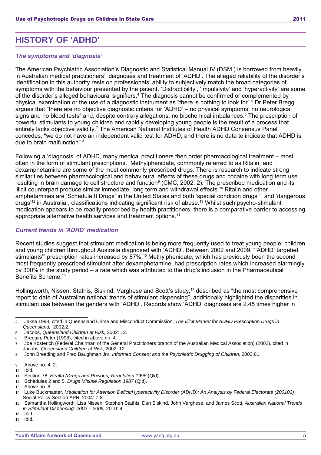# **HISTORY OF 'ADHD'**

#### *The symptoms and 'diagnosis'*

The American Psychiatric Association's Diagnostic and Statistical Manual IV (DSM ) is borrowed from heavily in Australian medical practitioners' diagnoses and treatment of 'ADHD'. The alleged reliability of the disorder's identification in this authority rests on professionals' ability to subjectively match the broad categories of symptoms with the behaviour presented by the patient. 'Distractibility', 'impulsivity' and 'hyperactivity' are some of the disorder's alleged behavioural signifiers.[4](#page-4-0) The diagnosis cannot be confirmed or complemented by physical examination or the use of a diagnostic instrument as "there is nothing to look for". [5](#page-4-1) Dr Peter Breggi argues that "there are no objective diagnostic criteria for 'ADHD' – no physical symptoms, no neurological signs and no blood tests" and, despite contrary allegations, no biochemical imbalances.<sup>[6](#page-4-2)</sup> The prescription of powerful stimulants to young children and rapidly developing young people is the result of a process that entirely lacks objective validity.[7](#page-4-3) The American National Institutes of Health ADHD Consensus Panel concedes, "we do not have an independent valid test for ADHD, and there is no data to indicate that ADHD is due to brain malfunction".<sup>[8](#page-4-4)</sup>

Following a 'diagnosis' of ADHD, many medical practitioners then order pharmacological treatment – most often in the form of stimulant prescriptions. Methylphenidate, commonly referred to as Ritalin, and dexamphetamine are some of the most commonly prescribed drugs. There is research to indicate strong similarities between pharmacological and behavioural effects of these drugs and cocaine with long term use resulting in brain damage to cell structure and function<sup>[9](#page-4-5)</sup> (CMC, 2002: 2). The prescribed medication and its illicit counterpart produce similar immediate, long term and withdrawal effects.<sup>[10](#page-4-6)</sup> Ritalin and other amphetamines are 'Schedule II Drugs' in the United States and both 'special condition drugs'<sup>[11](#page-4-7)</sup> and 'dangerous drugs'<sup>[12](#page-4-8)</sup> in Australia, classifications indicating significant risk of abuse.<sup>[13](#page-4-9)</sup> Whilst such psycho-stimulant medication appears to be readily prescribed by health practitioners, there is a comparative barrier to accessing appropriate alternative health services and treatment options.[14](#page-4-10)

#### *Current trends in 'ADHD' medication*

Recent studies suggest that stimulant medication is being more frequently used to treat young people, children and young children throughout Australia diagnosed with 'ADHD'. Between 2002 and 2009, "'ADHD' targeted stimulants" prescription rates increased by 87%.<sup>[15](#page-4-11)</sup> Methylphenidate, which has previously been the second most frequently prescribed stimulant after dexamphetamine, had prescription rates which increased alarmingly by 300% in the study period – a rate which was attributed to the drug's inclusion in the Pharmaceutical Benefits Scheme<sup>[16](#page-4-12)</sup>

Hollingworth, Nissen, Stathis, Siskind, Varghese and Scott's study,<sup>[17](#page-4-13)</sup> described as "the most comprehensive report to date of Australian national trends of stimulant dispensing", additionally highlighted the disparities in stimulant use between the genders with 'ADHD'. Records show 'ADHD' diagnoses are 2.45 times higher in

<span id="page-4-0"></span><sup>4</sup> Jaksa 1998, cited in Queensland Crime and Misconduct Commission, The Illicit Market for ADHD Prescription Drugs in Queensland, 2002:2.

<span id="page-4-1"></span><sup>5</sup> Jacobs, Queensland Children at Risk, 2002: 12.

<span id="page-4-2"></span><sup>6</sup> Breggin, Peter (1998), cited in above no. 4.

<span id="page-4-3"></span><sup>7</sup> Joe Kosterich (Federal Chairman of the General Practitioners branch of the Australian Medical Association) (2002), cited in Jacobs, Queensland Children at Risk, 2002: 12.

<span id="page-4-4"></span><sup>8</sup> John Breeding and Fred Baughman Jnr, Informed Consent and the Psychiatric Drugging of Children, 2003:61.

<span id="page-4-5"></span><sup>9</sup> Above no. 4, 2.

<span id="page-4-6"></span><sup>10</sup> Ibid.

<span id="page-4-7"></span><sup>11</sup> Section 78, Health (Drugs and Poisons) Regulation 1996 (Qld).

<span id="page-4-8"></span><sup>12</sup> Schedules 2 and 5, Drugs Misuse Regulation 1987 (Qld).

<span id="page-4-9"></span><sup>13</sup> Above no. 8.

<span id="page-4-10"></span><sup>14</sup> Luke Buckmaster, Medication for Attention Deficit/Hyperactivity Disorder (ADHD): An Analysis by Federal Electorate (200103) Social Policy Section APH, 2004: 7-8.

<span id="page-4-11"></span>Samantha Hollingworth, Lisa Nissen, Stephen Stathis, Dan Siskind, John Varghese, and James Scott, Australian National Trends in Stimulant Dispensing: 2002 – 2009, 2010: 4.

<span id="page-4-12"></span><sup>16</sup> Ibid.

<span id="page-4-13"></span><sup>17</sup> Ibid.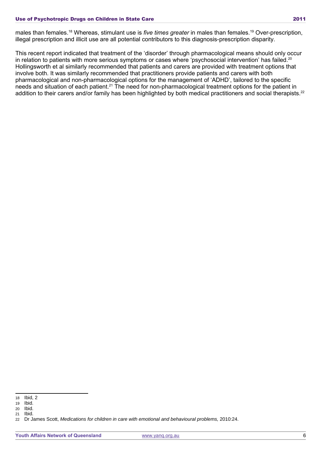males than females.[18](#page-5-0) Whereas, stimulant use is *five times greater* in males than females.[19](#page-5-1) Over-prescription, illegal prescription and illicit use are all potential contributors to this diagnosis-prescription disparity.

This recent report indicated that treatment of the 'disorder' through pharmacological means should only occur in relation to patients with more serious symptoms or cases where 'psychosocial intervention' has failed.<sup>[20](#page-5-2)</sup> Hollingsworth et al similarly recommended that patients and carers are provided with treatment options that involve both. It was similarly recommended that practitioners provide patients and carers with both pharmacological and non-pharmacological options for the management of 'ADHD', tailored to the specific needs and situation of each patient.<sup>[21](#page-5-3)</sup> The need for non-pharmacological treatment options for the patient in addition to their carers and/or family has been highlighted by both medical practitioners and social therapists.<sup>[22](#page-5-4)</sup>

<span id="page-5-0"></span><sup>18</sup> Ibid, 2

<span id="page-5-1"></span><sup>19</sup> Ibid.

<span id="page-5-2"></span><sup>20</sup> Ibid.

<span id="page-5-3"></span><sup>21</sup> Ibid.

<span id="page-5-4"></span><sup>22</sup> Dr James Scott, Medications for children in care with emotional and behavioural problems, 2010:24.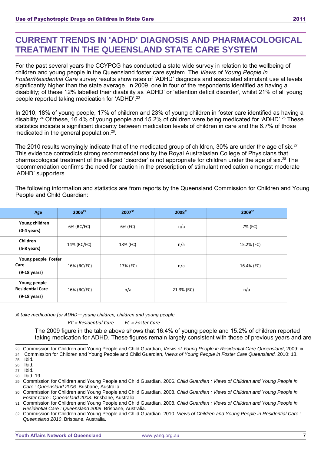## **CURRENT TRENDS IN 'ADHD' DIAGNOSIS AND PHARMACOLOGICAL TREATMENT IN THE QUEENSLAND STATE CARE SYSTEM**

For the past several years the CCYPCG has conducted a state wide survey in relation to the wellbeing of children and young people in the Queensland foster care system. The *Views of Young People in Foster/Residential Care* survey results show rates of 'ADHD' diagnosis and associated stimulant use at levels significantly higher than the state average. In 2009, one in four of the respondents identified as having a disability; of these 12% labelled their disability as 'ADHD' or 'attention deficit disorder', whilst 21% of all young people reported taking medication for 'ADHD'. [23](#page-6-0)

In 2010, 18% of young people, 17% of children and 23% of young children in foster care identified as having a disability.<sup>[24](#page-6-1)</sup> Of these, 16.4% of young people and 15.2% of children were being medicated for 'ADHD'.<sup>[25](#page-6-2)</sup> These statistics indicate a significant disparity between medication levels of children in care and the 6.7% of those medicated in the general population.<sup>[26](#page-6-3)</sup>.

The 2010 results worryingly indicate that of the medicated group of children, 30% are under the age of six.<sup>[27](#page-6-4)</sup> This evidence contradicts strong recommendations by the Royal Australasian College of Physicians that pharmacological treatment of the alleged 'disorder' is not appropriate for children under the age of six.[28](#page-6-5) The recommendation confirms the need for caution in the prescription of stimulant medication amongst moderate 'ADHD' supporters.

The following information and statistics are from reports by the Queensland Commission for Children and Young People and Child Guardian:

| Age                                                               | 2006 <sup>29</sup> | 200730   | 200831     | 200932     |
|-------------------------------------------------------------------|--------------------|----------|------------|------------|
| Young children<br>$(0-4 \text{ years})$                           | 6% (RC/FC)         | 6% (FC)  | n/a        | 7% (FC)    |
| Children<br>$(5-8 \text{ years})$                                 | 14% (RC/FC)        | 18% (FC) | n/a        | 15.2% (FC) |
| Young people Foster<br>Care<br>$(9-18 \text{ years})$             | 16% (RC/FC)        | 17% (FC) | n/a        | 16.4% (FC) |
| Young people<br><b>Residential Care</b><br>$(9-18 \text{ years})$ | 16% (RC/FC)        | n/a      | 21.3% (RC) | n/a        |

*% take medication for ADHD—young children, children and young people*

*RC = Residential Care FC = Foster Care*

The 2009 figure in the table above shows that 16.4% of young people and 15.2% of children reported taking medication for ADHD. These figures remain largely consistent with those of previous years and are

<span id="page-6-0"></span>23 Commission for Children and Young People and Child Guardian, Views of Young People in Residential Care Queensland, 2009: ix.

<span id="page-6-1"></span>24 Commission for Children and Young People and Child Guardian, Views of Young People in Foster Care Queensland, 2010: 18. 25 Ibid.

<span id="page-6-3"></span><span id="page-6-2"></span>

26 Ibid. 27 Ibid.

<span id="page-6-5"></span><span id="page-6-4"></span>28 Ibid, 19.

<span id="page-6-6"></span>29 Commission for Children and Young People and Child Guardian. 2006. *Child Guardian : Views of Children and Young People in Care : Queensland 2006*. Brisbane, Australia.

<span id="page-6-7"></span>30 Commission for Children and Young People and Child Guardian. 2008. *Child Guardian : Views of Children and Young People in Foster Care : Queensland 2008*. Brisbane, Australia.

<span id="page-6-8"></span>31 Commission for Children and Young People and Child Guardian. 2008. *Child Guardian : Views of Children and Young People in Residential Care : Queensland 2008*. Brisbane, Australia.

<span id="page-6-9"></span><sup>32</sup> Commission for Children and Young People and Child Guardian. 2010. *Views of Children and Young People in Residential Care : Queensland 2010*. Brisbane, Australia.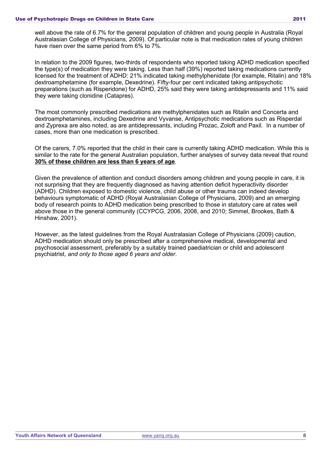well above the rate of 6.7% for the general population of children and young people in Australia (Royal Australasian College of Physicians, 2009). Of particular note is that medication rates of young children have risen over the same period from 6% to 7%.

In relation to the 2009 figures, two-thirds of respondents who reported taking ADHD medication specified the type(s) of medication they were taking. Less than half (39%) reported taking medications currently licensed for the treatment of ADHD: 21% indicated taking methylphenidate (for example, Ritalin) and 18% dextroamphetamine (for example, Dexedrine). Fifty-four per cent indicated taking antipsychotic preparations (such as Risperidone) for ADHD, 25% said they were taking antidepressants and 11% said they were taking clonidine (Catapres).

The most commonly prescribed medications are methylphenidates such as Ritalin and Concerta and dextroamphetamines, including Dexedrine and Vyvanse, Antipsychotic medications such as Risperdal and Zyprexa are also noted, as are antidepressants, including Prozac, Zoloft and Paxil. In a number of cases, more than one medication is prescribed.

Of the carers, 7.0% reported that the child in their care is currently taking ADHD medication. While this is similar to the rate for the general Australian population, further analyses of survey data reveal that round **30% of these children are less than 6 years of age***.*

Given the prevalence of attention and conduct disorders among children and young people in care, it is not surprising that they are frequently diagnosed as having attention deficit hyperactivity disorder (ADHD). Children exposed to domestic violence, child abuse or other trauma can indeed develop behaviours symptomatic of ADHD (Royal Australasian College of Physicians, 2009) and an emerging body of research points to ADHD medication being prescribed to those in statutory care at rates well above those in the general community (CCYPCG, 2006, 2008, and 2010; Simmel, Brookes, Bath & Hinshaw, 2001).

However, as the latest guidelines from the Royal Australasian College of Physicians (2009) caution, ADHD medication should only be prescribed after a comprehensive medical, developmental and psychosocial assessment, preferably by a suitably trained paediatrician or child and adolescent psychiatrist, *and only to those aged 6 years and older*.